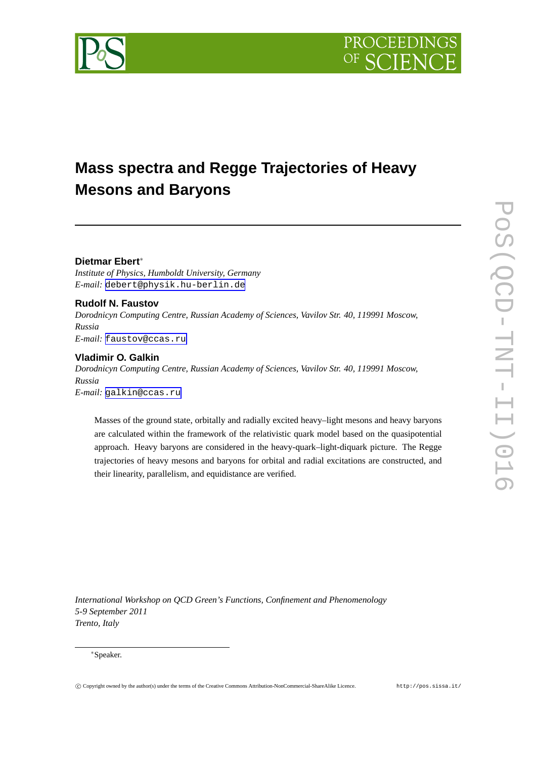

# **Mass spectra and Regge Trajectories of Heavy Mesons and Baryons**

# **Dietmar Ebert**∗

*Institute of Physics, Humboldt University, Germany E-mail:* [debert@physik.hu-berlin.de](mailto:debert@physik.hu-berlin.de)

**Rudolf N. Faustov** *Dorodnicyn Computing Centre, Russian Academy of Sciences, Vavilov Str. 40, 119991 Moscow, Russia E-mail:* [faustov@ccas.ru](mailto:faustov@ccas.ru)

## **Vladimir O. Galkin**

*Dorodnicyn Computing Centre, Russian Academy of Sciences, Vavilov Str. 40, 119991 Moscow, Russia E-mail:* [galkin@ccas.ru](mailto:galkin@ccas.ru)

Masses of the ground state, orbitally and radially excited heavy–light mesons and heavy baryons are calculated within the framework of the relativistic quark model based on the quasipotential approach. Heavy baryons are considered in the heavy-quark–light-diquark picture. The Regge trajectories of heavy mesons and baryons for orbital and radial excitations are constructed, and their linearity, parallelism, and equidistance are verified.

*International Workshop on QCD Green's Functions, Confinement and Phenomenology 5-9 September 2011 Trento, Italy*

#### ∗Speaker.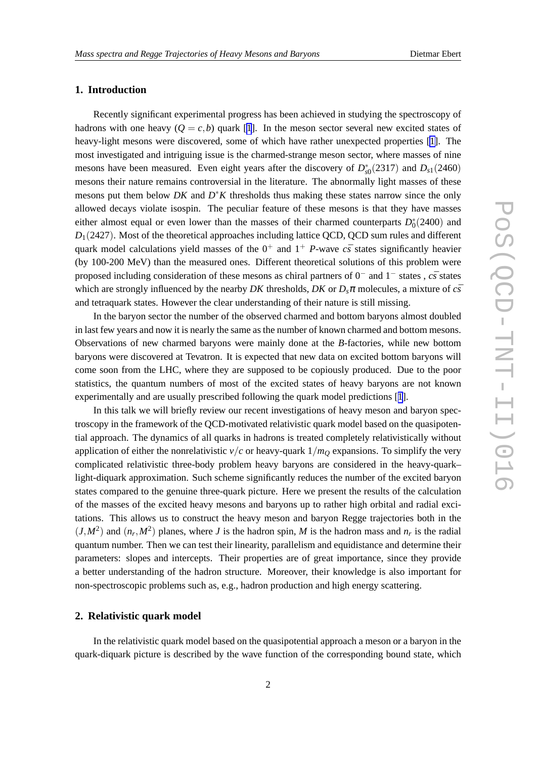## **1. Introduction**

Recently significant experimental progress has been achieved in studying the spectroscopy of hadrons with one heavy  $(Q = c, b)$  quark [[1](#page-11-0)]. In the meson sector several new excited states of heavy-light mesons were discovered, some of which have rather unexpected properties [\[1\]](#page-11-0). The most investigated and intriguing issue is the charmed-strange meson sector, where masses of nine mesons have been measured. Even eight years after the discovery of  $D_{s0}^*(2317)$  and  $D_{s1}(2460)$ mesons their nature remains controversial in the literature. The abnormally light masses of these mesons put them below *DK* and *D* ∗*K* thresholds thus making these states narrow since the only allowed decays violate isospin. The peculiar feature of these mesons is that they have masses either almost equal or even lower than the masses of their charmed counterparts  $D_0^*(2400)$  and  $D_1(2427)$ . Most of the theoretical approaches including lattice QCD, QCD sum rules and different quark model calculations yield masses of the  $0^+$  and  $1^+$  *P*-wave  $c\bar{s}$  states significantly heavier (by 100-200 MeV) than the measured ones. Different theoretical solutions of this problem were proposed including consideration of these mesons as chiral partners of 0<sup>-</sup> and 1<sup>-</sup> states, *cs* states which are strongly influenced by the nearby *DK* thresholds, *DK* or  $D_s \pi$  molecules, a mixture of  $c\bar{s}$ and tetraquark states. However the clear understanding of their nature is still missing.

In the baryon sector the number of the observed charmed and bottom baryons almost doubled in last few years and now it is nearly the same as the number of known charmed and bottom mesons. Observations of new charmed baryons were mainly done at the *B*-factories, while new bottom baryons were discovered at Tevatron. It is expected that new data on excited bottom baryons will come soon from the LHC, where they are supposed to be copiously produced. Due to the poor statistics, the quantum numbers of most of the excited states of heavy baryons are not known experimentally and are usually prescribed following the quark model predictions [[1](#page-11-0)].

In this talk we will briefly review our recent investigations of heavy meson and baryon spectroscopy in the framework of the QCD-motivated relativistic quark model based on the quasipotential approach. The dynamics of all quarks in hadrons is treated completely relativistically without application of either the nonrelativistic  $v/c$  or heavy-quark  $1/m<sub>O</sub>$  expansions. To simplify the very complicated relativistic three-body problem heavy baryons are considered in the heavy-quark– light-diquark approximation. Such scheme significantly reduces the number of the excited baryon states compared to the genuine three-quark picture. Here we present the results of the calculation of the masses of the excited heavy mesons and baryons up to rather high orbital and radial excitations. This allows us to construct the heavy meson and baryon Regge trajectories both in the  $(J, M^2)$  and  $(n_r, M^2)$  planes, where *J* is the hadron spin, *M* is the hadron mass and  $n_r$  is the radial quantum number. Then we can test their linearity, parallelism and equidistance and determine their parameters: slopes and intercepts. Their properties are of great importance, since they provide a better understanding of the hadron structure. Moreover, their knowledge is also important for non-spectroscopic problems such as, e.g., hadron production and high energy scattering.

## **2. Relativistic quark model**

In the relativistic quark model based on the quasipotential approach a meson or a baryon in the quark-diquark picture is described by the wave function of the corresponding bound state, which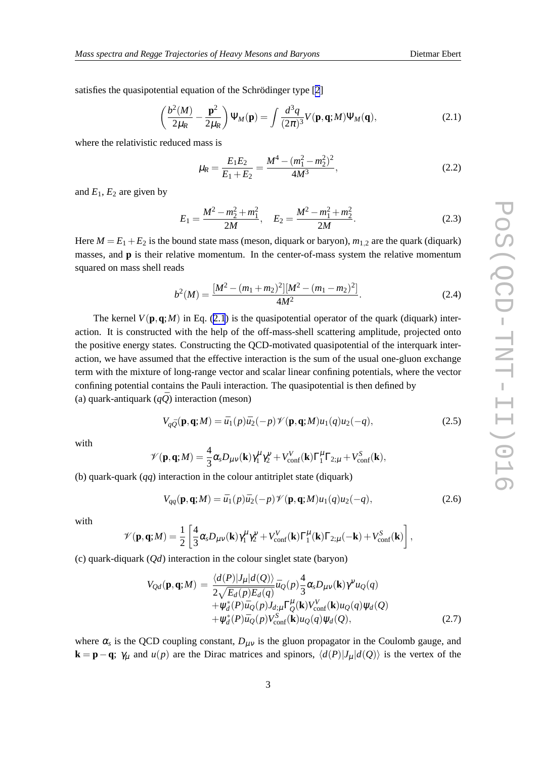<span id="page-2-0"></span>satisfies the quasipotential equation of the Schrödinger type [[2](#page-11-0)]

$$
\left(\frac{b^2(M)}{2\mu_R} - \frac{\mathbf{p}^2}{2\mu_R}\right) \Psi_M(\mathbf{p}) = \int \frac{d^3q}{(2\pi)^3} V(\mathbf{p}, \mathbf{q}; M) \Psi_M(\mathbf{q}),\tag{2.1}
$$

where the relativistic reduced mass is

$$
\mu_R = \frac{E_1 E_2}{E_1 + E_2} = \frac{M^4 - (m_1^2 - m_2^2)^2}{4M^3},\tag{2.2}
$$

and  $E_1$ ,  $E_2$  are given by

$$
E_1 = \frac{M^2 - m_2^2 + m_1^2}{2M}, \quad E_2 = \frac{M^2 - m_1^2 + m_2^2}{2M}.
$$
 (2.3)

Here  $M = E_1 + E_2$  is the bound state mass (meson, diquark or baryon),  $m_{1,2}$  are the quark (diquark) masses, and **p** is their relative momentum. In the center-of-mass system the relative momentum squared on mass shell reads

$$
b^{2}(M) = \frac{[M^{2} - (m_{1} + m_{2})^{2}][M^{2} - (m_{1} - m_{2})^{2}]}{4M^{2}}.
$$
 (2.4)

The kernel  $V(\mathbf{p}, \mathbf{q}; M)$  in Eq. (2.1) is the quasipotential operator of the quark (diquark) interaction. It is constructed with the help of the off-mass-shell scattering amplitude, projected onto the positive energy states. Constructing the QCD-motivated quasipotential of the interquark interaction, we have assumed that the effective interaction is the sum of the usual one-gluon exchange term with the mixture of long-range vector and scalar linear confining potentials, where the vector confining potential contains the Pauli interaction. The quasipotential is then defined by (a) quark-antiquark  $(q\bar{Q})$  interaction (meson)

$$
V_{q\bar{Q}}(\mathbf{p}, \mathbf{q}; M) = \bar{u}_1(p)\bar{u}_2(-p)\mathcal{V}(\mathbf{p}, \mathbf{q}; M)u_1(q)u_2(-q),
$$
\n(2.5)

with

$$
\mathscr{V}(\mathbf{p}, \mathbf{q}; M) = \frac{4}{3} \alpha_s D_{\mu\nu}(\mathbf{k}) \gamma_1^{\mu} \gamma_2^{\nu} + V_{\text{conf}}^V(\mathbf{k}) \Gamma_1^{\mu} \Gamma_{2;\mu} + V_{\text{conf}}^S(\mathbf{k}),
$$

(b) quark-quark (*qq*) interaction in the colour antitriplet state (diquark)

$$
V_{qq}(\mathbf{p}, \mathbf{q}; M) = \bar{u}_1(p)\bar{u}_2(-p)\mathcal{V}(\mathbf{p}, \mathbf{q}; M)u_1(q)u_2(-q),
$$
\n(2.6)

with

$$
\mathscr{V}(\mathbf{p}, \mathbf{q}; M) = \frac{1}{2} \left[ \frac{4}{3} \alpha_s D_{\mu\nu}(\mathbf{k}) \gamma_1^{\mu} \gamma_2^{\nu} + V_{\text{conf}}^V(\mathbf{k}) \Gamma_1^{\mu}(\mathbf{k}) \Gamma_{2;\mu}(-\mathbf{k}) + V_{\text{conf}}^S(\mathbf{k}) \right],
$$

(c) quark-diquark (*Qd*) interaction in the colour singlet state (baryon)

$$
V_{Qd}(\mathbf{p}, \mathbf{q}; M) = \frac{\langle d(P)|J_{\mu}|d(Q)\rangle}{2\sqrt{E_d(p)E_d(q)}} \bar{u}_Q(p)\frac{4}{3}\alpha_s D_{\mu\nu}(\mathbf{k})\gamma^{\nu}u_Q(q) + \psi_d^*(P)\bar{u}_Q(p)J_{d;\mu}\Gamma_Q^{\mu}(\mathbf{k})V_{\text{conf}}^{\text{V}}(\mathbf{k})u_Q(q)\psi_d(Q) + \psi_d^*(P)\bar{u}_Q(p)V_{\text{conf}}^{\text{S}}(\mathbf{k})u_Q(q)\psi_d(Q),
$$
\n(2.7)

where  $\alpha_s$  is the QCD coupling constant,  $D_{\mu\nu}$  is the gluon propagator in the Coulomb gauge, and **k** = **p**−**q**;  $\gamma_{\mu}$  and *u*(*p*) are the Dirac matrices and spinors,  $\langle d(P)|J_{\mu}|d(Q)\rangle$  is the vertex of the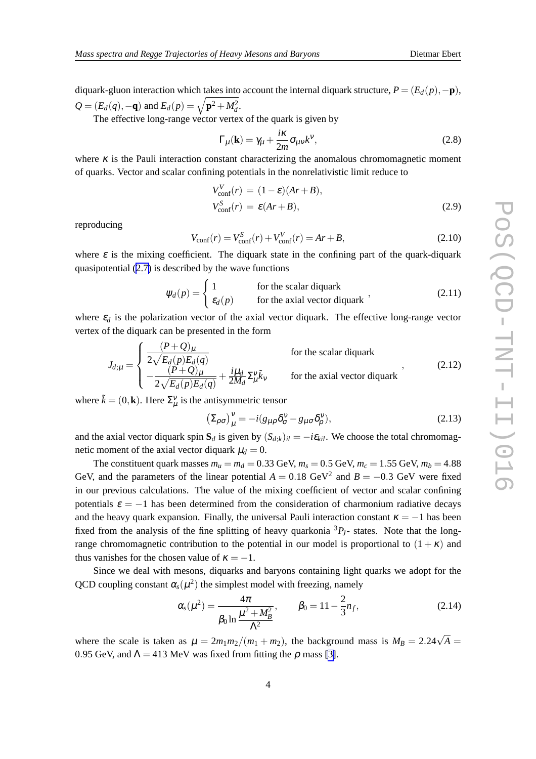diquark-gluon interaction which takes into account the internal diquark structure,  $P = (E_d(p), -\mathbf{p})$ ,  $Q = (E_d(q), -q)$  and  $E_d(p) = \sqrt{p^2 + M_d^2}$ .

The effective long-range vector vertex of the quark is given by

$$
\Gamma_{\mu}(\mathbf{k}) = \gamma_{\mu} + \frac{i\kappa}{2m} \sigma_{\mu\nu} k^{\nu},\tag{2.8}
$$

where  $\kappa$  is the Pauli interaction constant characterizing the anomalous chromomagnetic moment of quarks. Vector and scalar confining potentials in the nonrelativistic limit reduce to

$$
V_{\text{conf}}^{V}(r) = (1 - \varepsilon)(Ar + B),
$$
  
\n
$$
V_{\text{conf}}^{S}(r) = \varepsilon (Ar + B),
$$
\n(2.9)

reproducing

$$
V_{\text{conf}}(r) = V_{\text{conf}}^{S}(r) + V_{\text{conf}}^{V}(r) = Ar + B,
$$
\n(2.10)

where  $\varepsilon$  is the mixing coefficient. The diquark state in the confining part of the quark-diquark quasipotential ([2.7\)](#page-2-0) is described by the wave functions

$$
\psi_d(p) = \begin{cases} 1 & \text{for the scalar diquark} \\ \varepsilon_d(p) & \text{for the axial vector diquark} \end{cases}
$$
 (2.11)

where  $\varepsilon_d$  is the polarization vector of the axial vector diquark. The effective long-range vector vertex of the diquark can be presented in the form

$$
J_{d;\mu} = \begin{cases} \frac{(P+Q)_{\mu}}{2\sqrt{E_d(p)E_d(q)}} & \text{for the scalar diquark} \\ -\frac{(P+Q)_{\mu}}{2\sqrt{E_d(p)E_d(q)}} + \frac{i\mu_d}{2M_d}\Sigma_{\mu}^{\nu}\tilde{k}_{\nu} & \text{for the axial vector diquark} \end{cases}
$$
 (2.12)

where  $\tilde{k} = (0, \mathbf{k})$ . Here  $\Sigma_{\mu}^{\nu}$  is the antisymmetric tensor

$$
\left(\Sigma_{\rho\sigma}\right)^{\nu}_{\mu} = -i(g_{\mu\rho}\delta^{\nu}_{\sigma} - g_{\mu\sigma}\delta^{\nu}_{\rho}),\tag{2.13}
$$

and the axial vector diquark spin  $S_d$  is given by  $(S_{d,k})_{il} = -i\varepsilon_{kil}$ . We choose the total chromomagnetic moment of the axial vector diquark  $\mu_d = 0$ .

The constituent quark masses  $m_u = m_d = 0.33$  GeV,  $m_s = 0.5$  GeV,  $m_c = 1.55$  GeV,  $m_b = 4.88$ GeV, and the parameters of the linear potential  $A = 0.18 \text{ GeV}^2$  and  $B = -0.3 \text{ GeV}$  were fixed in our previous calculations. The value of the mixing coefficient of vector and scalar confining potentials  $\varepsilon = -1$  has been determined from the consideration of charmonium radiative decays and the heavy quark expansion. Finally, the universal Pauli interaction constant  $\kappa = -1$  has been fixed from the analysis of the fine splitting of heavy quarkonia  ${}^{3}P$ *<sub><i>I*</sub>- states. Note that the longrange chromomagnetic contribution to the potential in our model is proportional to  $(1 + \kappa)$  and thus vanishes for the chosen value of  $\kappa = -1$ .

Since we deal with mesons, diquarks and baryons containing light quarks we adopt for the QCD coupling constant  $\alpha_s(\mu^2)$  the simplest model with freezing, namely

$$
\alpha_s(\mu^2) = \frac{4\pi}{\beta_0 \ln \frac{\mu^2 + M_B^2}{\Lambda^2}}, \qquad \beta_0 = 11 - \frac{2}{3}n_f,
$$
 (2.14)

where the scale is taken as  $\mu = 2m_1m_2/(m_1 + m_2)$ , the background mass is  $M_B = 2.24\sqrt{A}$ 0.95 GeV, and  $\Lambda = 413$  MeV was fixed from fitting the  $\rho$  mass [\[3\]](#page-11-0).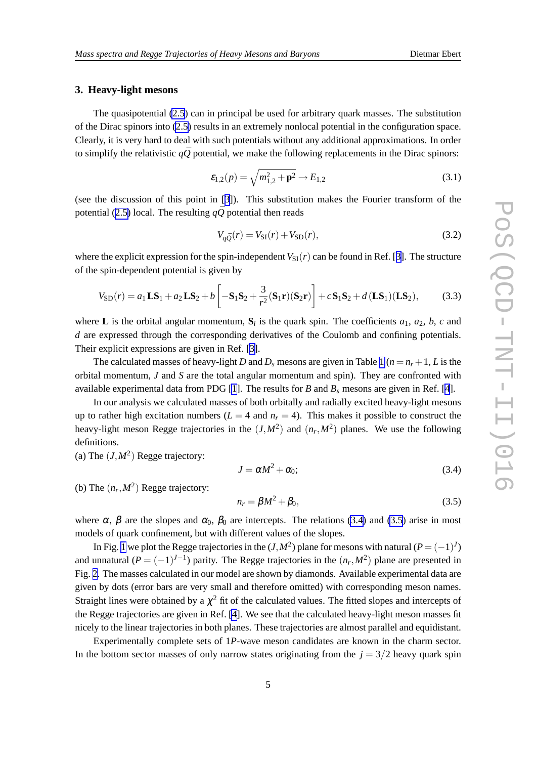#### <span id="page-4-0"></span>**3. Heavy-light mesons**

The quasipotential [\(2.5](#page-2-0)) can in principal be used for arbitrary quark masses. The substitution of the Dirac spinors into [\(2.5\)](#page-2-0) results in an extremely nonlocal potential in the configuration space. Clearly, it is very hard to deal with such potentials without any additional approximations. In order to simplify the relativistic  $q\bar{Q}$  potential, we make the following replacements in the Dirac spinors:

$$
\varepsilon_{1,2}(p) = \sqrt{m_{1,2}^2 + \mathbf{p}^2} \to E_{1,2}
$$
\n(3.1)

(see the discussion of this point in [[3](#page-11-0)]). This substitution makes the Fourier transform of the potential ([2.5\)](#page-2-0) local. The resulting  $q\bar{Q}$  potential then reads

$$
V_{q\bar{Q}}(r) = V_{\rm SI}(r) + V_{\rm SD}(r),\tag{3.2}
$$

where the explicit expression for the spin-independent  $V_{\text{SI}}(r)$  can be found in Ref. [[3](#page-11-0)]. The structure of the spin-dependent potential is given by

$$
V_{\text{SD}}(r) = a_1 \mathbf{LS}_1 + a_2 \mathbf{LS}_2 + b \left[ -\mathbf{S}_1 \mathbf{S}_2 + \frac{3}{r^2} (\mathbf{S}_1 \mathbf{r}) (\mathbf{S}_2 \mathbf{r}) \right] + c \mathbf{S}_1 \mathbf{S}_2 + d (\mathbf{LS}_1) (\mathbf{LS}_2),\tag{3.3}
$$

where **L** is the orbital angular momentum,  $S_i$  is the quark spin. The coefficients  $a_1$ ,  $a_2$ ,  $b$ ,  $c$  and *d* are expressed through the corresponding derivatives of the Coulomb and confining potentials. Their explicit expressions are given in Ref. [\[3\]](#page-11-0).

The calculated masses of heavy-light *D* and  $D_s$  mesons are given in Table [1](#page-5-0) ( $n = n_r + 1$ , *L* is the orbital momentum, *J* and *S* are the total angular momentum and spin). They are confronted with available experimental data from PDG [\[1\]](#page-11-0). The results for *B* and *B<sup>s</sup>* mesons are given in Ref. [[4](#page-11-0)].

In our analysis we calculated masses of both orbitally and radially excited heavy-light mesons up to rather high excitation numbers ( $L = 4$  and  $n_r = 4$ ). This makes it possible to construct the heavy-light meson Regge trajectories in the  $(J, M^2)$  and  $(n_r, M^2)$  planes. We use the following definitions.

(a) The  $(J, M^2)$  Regge trajectory:

$$
J = \alpha M^2 + \alpha_0; \tag{3.4}
$$

(b) The  $(n_r, M^2)$  Regge trajectory:

$$
n_r = \beta M^2 + \beta_0,\tag{3.5}
$$

where  $\alpha$ ,  $\beta$  are the slopes and  $\alpha_0$ ,  $\beta_0$  are intercepts. The relations (3.4) and (3.5) arise in most models of quark confinement, but with different values of the slopes.

In Fig. [1](#page-6-0) we plot the Regge trajectories in the  $(J, M^2)$  plane for mesons with natural  $(P = (-1)^J)$ and unnatural  $(P = (-1)^{J-1})$  parity. The Regge trajectories in the  $(n_r, M^2)$  plane are presented in Fig. [2](#page-6-0). The masses calculated in our model are shown by diamonds. Available experimental data are given by dots (error bars are very small and therefore omitted) with corresponding meson names. Straight lines were obtained by a  $\chi^2$  fit of the calculated values. The fitted slopes and intercepts of the Regge trajectories are given in Ref. [\[4\]](#page-11-0). We see that the calculated heavy-light meson masses fit nicely to the linear trajectories in both planes. These trajectories are almost parallel and equidistant.

Experimentally complete sets of 1*P*-wave meson candidates are known in the charm sector. In the bottom sector masses of only narrow states originating from the  $j = 3/2$  heavy quark spin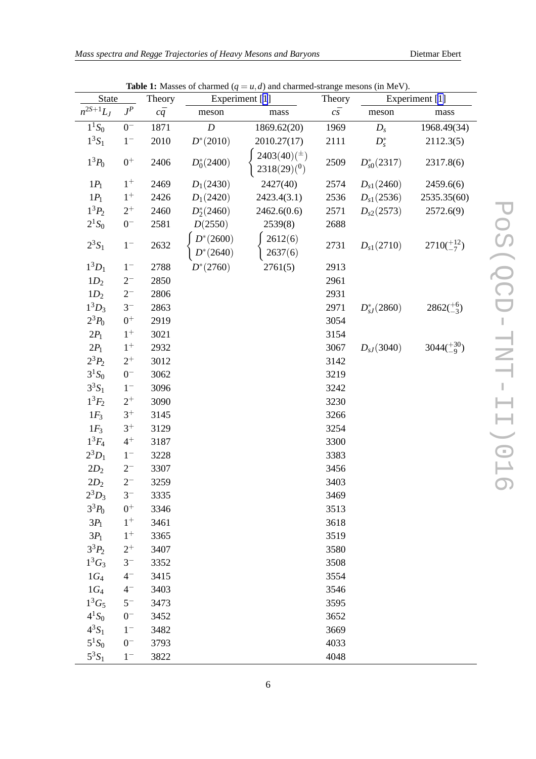<span id="page-5-0"></span>

| Mass spectra and Regge Trajectories of Heavy Mesons and Baryons |  |  |  |
|-----------------------------------------------------------------|--|--|--|
|                                                                 |  |  |  |

| $J^P$<br>$c\bar{q}$<br>$c\bar s$<br>meson<br>meson<br>mass<br>${\rm mass}$<br>$1^{1}S_{0}$<br>$0-$<br>1871<br>$\boldsymbol{D}$<br>1869.62(20)<br>1969<br>1968.49(34)<br>$D_{s}$<br>$1^3S_1$<br>$1-$<br>2010<br>$D^{*}(2010)$<br>2010.27(17)<br>2111<br>$D_s^*$<br>2112.3(5)<br>$2403(40)(^{\pm})$<br>$1^3P_0$<br>$0^+$<br>$D_0^*(2400)$<br>2406<br>2509<br>$D_{s0}^*(2317)$<br>2317.8(6)<br>2318(29)(0)<br>2427(40)<br>$1^+$<br>$1P_1$<br>2469<br>$D_1(2430)$<br>2574<br>$D_{s1}(2460)$<br>2459.6(6)<br>$1P_1$<br>$1^+$<br>$D_1(2420)$<br>2426<br>2423.4(3.1)<br>$D_{s1}(2536)$<br>2536<br>2535.35(60)<br>$1^3P_2$<br>$2^+$<br>$D_2^*(2460)$<br>2462.6(0.6)<br>$D_{s2}(2573)$<br>2460<br>2571<br>2572.6(9)<br>$2^{1}S_{0}$<br>$0^-$<br>2581<br>D(2550)<br>2539(8)<br>2688<br>$D^*(2600)$<br>2612(6)<br>$2^3S_1$<br>$2710(^{+12}_{-7})$<br>2632<br>$1-$<br>2731<br>$D_{s1}(2710)$<br>2637(6)<br>$D^*(2640)$<br>$1^3D_1$<br>$D^{*}(2760)$<br>2761(5)<br>$1-$<br>2788<br>2913<br>$1D_2$<br>2961<br>$2^{-}$<br>2850<br>$1D_2$<br>2931<br>$2^{-}$<br>2806<br>$1^3D_3$<br>$3^-$<br>$2862(^{+6}_{-3})$<br>$D_{sI}^*(2860)$<br>2863<br>2971<br>$2^3P_0$<br>$0+$<br>3054<br>2919<br>$2P_1$<br>$1^+$<br>3021<br>3154<br>$3044(^{+30}_{-9})$<br>$1^+$<br>$2P_1$<br>$D_{sJ}(3040)$<br>2932<br>3067<br>$2^3P_2$<br>$2^+$<br>3012<br>3142<br>$3^{1}S_{0}$<br>$0^-$<br>3062<br>3219<br>$3^{3}S_{1}$<br>$1-$<br>3096<br>3242<br>$1^3F_2$<br>$2^+$<br>3090<br>3230<br>$3^+$<br>$1F_3$<br>3266<br>3145<br>$3^+$<br>$1F_3$<br>3129<br>3254<br>$1^3F_4$<br>$4^+$<br>3300<br>3187<br>$2^3D_1$<br>$1-$<br>3228<br>3383<br>$2D_2$<br>$2^{-}$<br>3307<br>3456<br>$2^-$<br>$2D_2$<br>3403<br>3259<br>$2^3D_3$<br>$3-$<br>3335<br>3469<br>$3^3P_0$<br>$0^+$<br>3346<br>3513<br>$1^+$<br>$3P_1$<br>3461<br>3618<br>$1^+$<br>$3P_1$<br>3519<br>3365<br>$3^{3}P_{2}$<br>$2^+$<br>3407<br>3580 | <b>State</b>  |  | Theory | Experiment [1] |  | Theory | Experiment [1] |  |  |
|------------------------------------------------------------------------------------------------------------------------------------------------------------------------------------------------------------------------------------------------------------------------------------------------------------------------------------------------------------------------------------------------------------------------------------------------------------------------------------------------------------------------------------------------------------------------------------------------------------------------------------------------------------------------------------------------------------------------------------------------------------------------------------------------------------------------------------------------------------------------------------------------------------------------------------------------------------------------------------------------------------------------------------------------------------------------------------------------------------------------------------------------------------------------------------------------------------------------------------------------------------------------------------------------------------------------------------------------------------------------------------------------------------------------------------------------------------------------------------------------------------------------------------------------------------------------------------------------------------------------------------------------------------------------------------------------------------------------------------------------------------------------------------------------------------------------------------------------------------------|---------------|--|--------|----------------|--|--------|----------------|--|--|
|                                                                                                                                                                                                                                                                                                                                                                                                                                                                                                                                                                                                                                                                                                                                                                                                                                                                                                                                                                                                                                                                                                                                                                                                                                                                                                                                                                                                                                                                                                                                                                                                                                                                                                                                                                                                                                                                  | $n^{2S+1}L_J$ |  |        |                |  |        |                |  |  |
|                                                                                                                                                                                                                                                                                                                                                                                                                                                                                                                                                                                                                                                                                                                                                                                                                                                                                                                                                                                                                                                                                                                                                                                                                                                                                                                                                                                                                                                                                                                                                                                                                                                                                                                                                                                                                                                                  |               |  |        |                |  |        |                |  |  |
|                                                                                                                                                                                                                                                                                                                                                                                                                                                                                                                                                                                                                                                                                                                                                                                                                                                                                                                                                                                                                                                                                                                                                                                                                                                                                                                                                                                                                                                                                                                                                                                                                                                                                                                                                                                                                                                                  |               |  |        |                |  |        |                |  |  |
|                                                                                                                                                                                                                                                                                                                                                                                                                                                                                                                                                                                                                                                                                                                                                                                                                                                                                                                                                                                                                                                                                                                                                                                                                                                                                                                                                                                                                                                                                                                                                                                                                                                                                                                                                                                                                                                                  |               |  |        |                |  |        |                |  |  |
|                                                                                                                                                                                                                                                                                                                                                                                                                                                                                                                                                                                                                                                                                                                                                                                                                                                                                                                                                                                                                                                                                                                                                                                                                                                                                                                                                                                                                                                                                                                                                                                                                                                                                                                                                                                                                                                                  |               |  |        |                |  |        |                |  |  |
|                                                                                                                                                                                                                                                                                                                                                                                                                                                                                                                                                                                                                                                                                                                                                                                                                                                                                                                                                                                                                                                                                                                                                                                                                                                                                                                                                                                                                                                                                                                                                                                                                                                                                                                                                                                                                                                                  |               |  |        |                |  |        |                |  |  |
|                                                                                                                                                                                                                                                                                                                                                                                                                                                                                                                                                                                                                                                                                                                                                                                                                                                                                                                                                                                                                                                                                                                                                                                                                                                                                                                                                                                                                                                                                                                                                                                                                                                                                                                                                                                                                                                                  |               |  |        |                |  |        |                |  |  |
|                                                                                                                                                                                                                                                                                                                                                                                                                                                                                                                                                                                                                                                                                                                                                                                                                                                                                                                                                                                                                                                                                                                                                                                                                                                                                                                                                                                                                                                                                                                                                                                                                                                                                                                                                                                                                                                                  |               |  |        |                |  |        |                |  |  |
|                                                                                                                                                                                                                                                                                                                                                                                                                                                                                                                                                                                                                                                                                                                                                                                                                                                                                                                                                                                                                                                                                                                                                                                                                                                                                                                                                                                                                                                                                                                                                                                                                                                                                                                                                                                                                                                                  |               |  |        |                |  |        |                |  |  |
|                                                                                                                                                                                                                                                                                                                                                                                                                                                                                                                                                                                                                                                                                                                                                                                                                                                                                                                                                                                                                                                                                                                                                                                                                                                                                                                                                                                                                                                                                                                                                                                                                                                                                                                                                                                                                                                                  |               |  |        |                |  |        |                |  |  |
|                                                                                                                                                                                                                                                                                                                                                                                                                                                                                                                                                                                                                                                                                                                                                                                                                                                                                                                                                                                                                                                                                                                                                                                                                                                                                                                                                                                                                                                                                                                                                                                                                                                                                                                                                                                                                                                                  |               |  |        |                |  |        |                |  |  |
|                                                                                                                                                                                                                                                                                                                                                                                                                                                                                                                                                                                                                                                                                                                                                                                                                                                                                                                                                                                                                                                                                                                                                                                                                                                                                                                                                                                                                                                                                                                                                                                                                                                                                                                                                                                                                                                                  |               |  |        |                |  |        |                |  |  |
|                                                                                                                                                                                                                                                                                                                                                                                                                                                                                                                                                                                                                                                                                                                                                                                                                                                                                                                                                                                                                                                                                                                                                                                                                                                                                                                                                                                                                                                                                                                                                                                                                                                                                                                                                                                                                                                                  |               |  |        |                |  |        |                |  |  |
|                                                                                                                                                                                                                                                                                                                                                                                                                                                                                                                                                                                                                                                                                                                                                                                                                                                                                                                                                                                                                                                                                                                                                                                                                                                                                                                                                                                                                                                                                                                                                                                                                                                                                                                                                                                                                                                                  |               |  |        |                |  |        |                |  |  |
|                                                                                                                                                                                                                                                                                                                                                                                                                                                                                                                                                                                                                                                                                                                                                                                                                                                                                                                                                                                                                                                                                                                                                                                                                                                                                                                                                                                                                                                                                                                                                                                                                                                                                                                                                                                                                                                                  |               |  |        |                |  |        |                |  |  |
|                                                                                                                                                                                                                                                                                                                                                                                                                                                                                                                                                                                                                                                                                                                                                                                                                                                                                                                                                                                                                                                                                                                                                                                                                                                                                                                                                                                                                                                                                                                                                                                                                                                                                                                                                                                                                                                                  |               |  |        |                |  |        |                |  |  |
|                                                                                                                                                                                                                                                                                                                                                                                                                                                                                                                                                                                                                                                                                                                                                                                                                                                                                                                                                                                                                                                                                                                                                                                                                                                                                                                                                                                                                                                                                                                                                                                                                                                                                                                                                                                                                                                                  |               |  |        |                |  |        |                |  |  |
|                                                                                                                                                                                                                                                                                                                                                                                                                                                                                                                                                                                                                                                                                                                                                                                                                                                                                                                                                                                                                                                                                                                                                                                                                                                                                                                                                                                                                                                                                                                                                                                                                                                                                                                                                                                                                                                                  |               |  |        |                |  |        |                |  |  |
|                                                                                                                                                                                                                                                                                                                                                                                                                                                                                                                                                                                                                                                                                                                                                                                                                                                                                                                                                                                                                                                                                                                                                                                                                                                                                                                                                                                                                                                                                                                                                                                                                                                                                                                                                                                                                                                                  |               |  |        |                |  |        |                |  |  |
|                                                                                                                                                                                                                                                                                                                                                                                                                                                                                                                                                                                                                                                                                                                                                                                                                                                                                                                                                                                                                                                                                                                                                                                                                                                                                                                                                                                                                                                                                                                                                                                                                                                                                                                                                                                                                                                                  |               |  |        |                |  |        |                |  |  |
|                                                                                                                                                                                                                                                                                                                                                                                                                                                                                                                                                                                                                                                                                                                                                                                                                                                                                                                                                                                                                                                                                                                                                                                                                                                                                                                                                                                                                                                                                                                                                                                                                                                                                                                                                                                                                                                                  |               |  |        |                |  |        |                |  |  |
|                                                                                                                                                                                                                                                                                                                                                                                                                                                                                                                                                                                                                                                                                                                                                                                                                                                                                                                                                                                                                                                                                                                                                                                                                                                                                                                                                                                                                                                                                                                                                                                                                                                                                                                                                                                                                                                                  |               |  |        |                |  |        |                |  |  |
|                                                                                                                                                                                                                                                                                                                                                                                                                                                                                                                                                                                                                                                                                                                                                                                                                                                                                                                                                                                                                                                                                                                                                                                                                                                                                                                                                                                                                                                                                                                                                                                                                                                                                                                                                                                                                                                                  |               |  |        |                |  |        |                |  |  |
|                                                                                                                                                                                                                                                                                                                                                                                                                                                                                                                                                                                                                                                                                                                                                                                                                                                                                                                                                                                                                                                                                                                                                                                                                                                                                                                                                                                                                                                                                                                                                                                                                                                                                                                                                                                                                                                                  |               |  |        |                |  |        |                |  |  |
|                                                                                                                                                                                                                                                                                                                                                                                                                                                                                                                                                                                                                                                                                                                                                                                                                                                                                                                                                                                                                                                                                                                                                                                                                                                                                                                                                                                                                                                                                                                                                                                                                                                                                                                                                                                                                                                                  |               |  |        |                |  |        |                |  |  |
|                                                                                                                                                                                                                                                                                                                                                                                                                                                                                                                                                                                                                                                                                                                                                                                                                                                                                                                                                                                                                                                                                                                                                                                                                                                                                                                                                                                                                                                                                                                                                                                                                                                                                                                                                                                                                                                                  |               |  |        |                |  |        |                |  |  |
|                                                                                                                                                                                                                                                                                                                                                                                                                                                                                                                                                                                                                                                                                                                                                                                                                                                                                                                                                                                                                                                                                                                                                                                                                                                                                                                                                                                                                                                                                                                                                                                                                                                                                                                                                                                                                                                                  |               |  |        |                |  |        |                |  |  |
|                                                                                                                                                                                                                                                                                                                                                                                                                                                                                                                                                                                                                                                                                                                                                                                                                                                                                                                                                                                                                                                                                                                                                                                                                                                                                                                                                                                                                                                                                                                                                                                                                                                                                                                                                                                                                                                                  |               |  |        |                |  |        |                |  |  |
|                                                                                                                                                                                                                                                                                                                                                                                                                                                                                                                                                                                                                                                                                                                                                                                                                                                                                                                                                                                                                                                                                                                                                                                                                                                                                                                                                                                                                                                                                                                                                                                                                                                                                                                                                                                                                                                                  |               |  |        |                |  |        |                |  |  |
|                                                                                                                                                                                                                                                                                                                                                                                                                                                                                                                                                                                                                                                                                                                                                                                                                                                                                                                                                                                                                                                                                                                                                                                                                                                                                                                                                                                                                                                                                                                                                                                                                                                                                                                                                                                                                                                                  |               |  |        |                |  |        |                |  |  |
|                                                                                                                                                                                                                                                                                                                                                                                                                                                                                                                                                                                                                                                                                                                                                                                                                                                                                                                                                                                                                                                                                                                                                                                                                                                                                                                                                                                                                                                                                                                                                                                                                                                                                                                                                                                                                                                                  |               |  |        |                |  |        |                |  |  |
| $1^3G_3$<br>$3^-$<br>3352<br>3508                                                                                                                                                                                                                                                                                                                                                                                                                                                                                                                                                                                                                                                                                                                                                                                                                                                                                                                                                                                                                                                                                                                                                                                                                                                                                                                                                                                                                                                                                                                                                                                                                                                                                                                                                                                                                                |               |  |        |                |  |        |                |  |  |
| $1G_4$<br>$4-$<br>3415<br>3554                                                                                                                                                                                                                                                                                                                                                                                                                                                                                                                                                                                                                                                                                                                                                                                                                                                                                                                                                                                                                                                                                                                                                                                                                                                                                                                                                                                                                                                                                                                                                                                                                                                                                                                                                                                                                                   |               |  |        |                |  |        |                |  |  |
| $1G_4$<br>$4-$<br>3403<br>3546                                                                                                                                                                                                                                                                                                                                                                                                                                                                                                                                                                                                                                                                                                                                                                                                                                                                                                                                                                                                                                                                                                                                                                                                                                                                                                                                                                                                                                                                                                                                                                                                                                                                                                                                                                                                                                   |               |  |        |                |  |        |                |  |  |
| $1^3G_5$<br>$5-$<br>3595<br>3473                                                                                                                                                                                                                                                                                                                                                                                                                                                                                                                                                                                                                                                                                                                                                                                                                                                                                                                                                                                                                                                                                                                                                                                                                                                                                                                                                                                                                                                                                                                                                                                                                                                                                                                                                                                                                                 |               |  |        |                |  |        |                |  |  |
| $4^{1}S_{0}$<br>$0-$<br>3652<br>3452                                                                                                                                                                                                                                                                                                                                                                                                                                                                                                                                                                                                                                                                                                                                                                                                                                                                                                                                                                                                                                                                                                                                                                                                                                                                                                                                                                                                                                                                                                                                                                                                                                                                                                                                                                                                                             |               |  |        |                |  |        |                |  |  |
| $4^{3}S_{1}$<br>$1-$<br>3482<br>3669                                                                                                                                                                                                                                                                                                                                                                                                                                                                                                                                                                                                                                                                                                                                                                                                                                                                                                                                                                                                                                                                                                                                                                                                                                                                                                                                                                                                                                                                                                                                                                                                                                                                                                                                                                                                                             |               |  |        |                |  |        |                |  |  |
| $5^1S_0$<br>$0^-$<br>3793<br>4033                                                                                                                                                                                                                                                                                                                                                                                                                                                                                                                                                                                                                                                                                                                                                                                                                                                                                                                                                                                                                                                                                                                                                                                                                                                                                                                                                                                                                                                                                                                                                                                                                                                                                                                                                                                                                                |               |  |        |                |  |        |                |  |  |
| $5^3S_1$<br>3822<br>4048<br>$1-$                                                                                                                                                                                                                                                                                                                                                                                                                                                                                                                                                                                                                                                                                                                                                                                                                                                                                                                                                                                                                                                                                                                                                                                                                                                                                                                                                                                                                                                                                                                                                                                                                                                                                                                                                                                                                                 |               |  |        |                |  |        |                |  |  |

**Table 1:** Masses of charmed  $(q = u, d)$  and charmed-strange mesons (in MeV).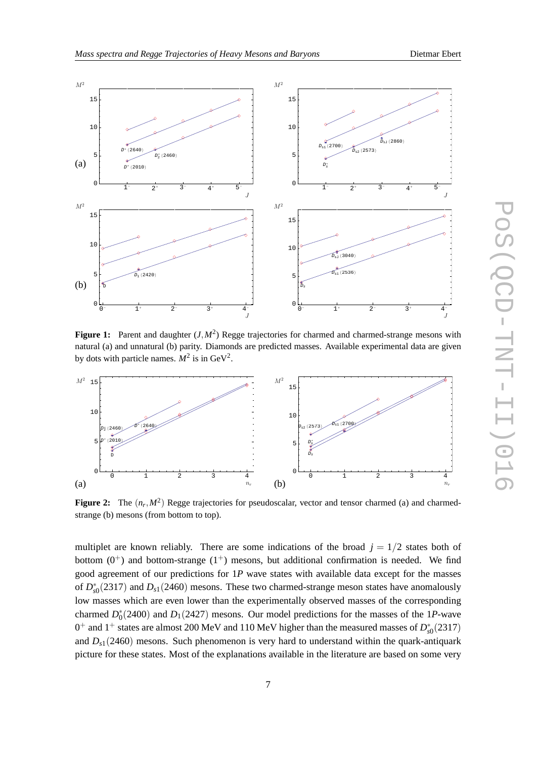

<span id="page-6-0"></span>

**Figure 1:** Parent and daughter  $(J, M^2)$  Regge trajectories for charmed and charmed-strange mesons with natural (a) and unnatural (b) parity. Diamonds are predicted masses. Available experimental data are given by dots with particle names.  $M^2$  is in GeV<sup>2</sup>.



**Figure 2:** The  $(n_r, M^2)$  Regge trajectories for pseudoscalar, vector and tensor charmed (a) and charmedstrange (b) mesons (from bottom to top).

multiplet are known reliably. There are some indications of the broad  $j = 1/2$  states both of bottom  $(0^+)$  and bottom-strange  $(1^+)$  mesons, but additional confirmation is needed. We find good agreement of our predictions for 1*P* wave states with available data except for the masses of  $D_{s0}^*(2317)$  and  $D_{s1}(2460)$  mesons. These two charmed-strange meson states have anomalously low masses which are even lower than the experimentally observed masses of the corresponding charmed  $D_0^*(2400)$  and  $D_1(2427)$  mesons. Our model predictions for the masses of the 1*P*-wave  $0^+$  and  $1^+$  states are almost 200 MeV and 110 MeV higher than the measured masses of  $D_{s0}^*(2317)$ and  $D_{s1}(2460)$  mesons. Such phenomenon is very hard to understand within the quark-antiquark picture for these states. Most of the explanations available in the literature are based on some very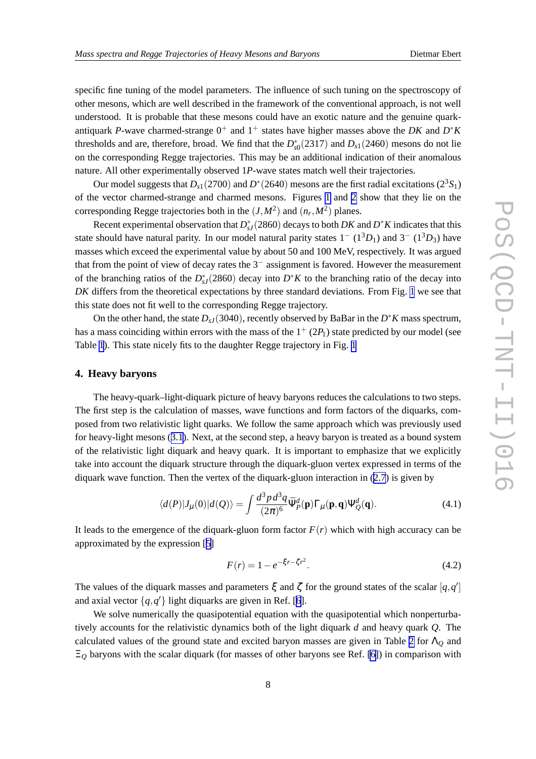specific fine tuning of the model parameters. The influence of such tuning on the spectroscopy of other mesons, which are well described in the framework of the conventional approach, is not well understood. It is probable that these mesons could have an exotic nature and the genuine quarkantiquark *P*-wave charmed-strange  $0^+$  and  $1^+$  states have higher masses above the *DK* and  $D^*K$ thresholds and are, therefore, broad. We find that the  $D_{s0}^*(2317)$  and  $D_{s1}(2460)$  mesons do not lie on the corresponding Regge trajectories. This may be an additional indication of their anomalous nature. All other experimentally observed 1*P*-wave states match well their trajectories.

Our model suggests that  $D_{s1}(2700)$  and  $D^*(2640)$  mesons are the first radial excitations  $(2^3S_1)$ of the vector charmed-strange and charmed mesons. Figures [1](#page-6-0) and [2](#page-6-0) show that they lie on the corresponding Regge trajectories both in the  $(J, M^2)$  and  $(n_r, M^2)$  planes.

Recent experimental observation that  $D_{sJ}^*(2860)$  decays to both  $DK$  and  $D^*K$  indicates that this state should have natural parity. In our model natural parity states  $1 - (1^3D_1)$  and  $3 - (1^3D_3)$  have masses which exceed the experimental value by about 50 and 100 MeV, respectively. It was argued that from the point of view of decay rates the 3− assignment is favored. However the measurement of the branching ratios of the  $D_{sJ}^*(2860)$  decay into  $D^*K$  to the branching ratio of the decay into *DK* differs from the theoretical expectations by three standard deviations. From Fig. [1](#page-6-0) we see that this state does not fit well to the corresponding Regge trajectory.

On the other hand, the state *DsJ*(3040), recently observed by BaBar in the *D* ∗*K* mass spectrum, has a mass coinciding within errors with the mass of the  $1^+(2P_1)$  state predicted by our model (see Table [1](#page-5-0)). This state nicely fits to the daughter Regge trajectory in Fig. [1](#page-6-0)

#### **4. Heavy baryons**

The heavy-quark–light-diquark picture of heavy baryons reduces the calculations to two steps. The first step is the calculation of masses, wave functions and form factors of the diquarks, composed from two relativistic light quarks. We follow the same approach which was previously used for heavy-light mesons ([3.1](#page-4-0)). Next, at the second step, a heavy baryon is treated as a bound system of the relativistic light diquark and heavy quark. It is important to emphasize that we explicitly take into account the diquark structure through the diquark-gluon vertex expressed in terms of the diquark wave function. Then the vertex of the diquark-gluon interaction in ([2.7](#page-2-0)) is given by

$$
\langle d(P)|J_{\mu}(0)|d(Q)\rangle = \int \frac{d^3p \, d^3q}{(2\pi)^6} \bar{\Psi}_{P}^d(\mathbf{p}) \Gamma_{\mu}(\mathbf{p}, \mathbf{q}) \Psi_{Q}^d(\mathbf{q}). \tag{4.1}
$$

It leads to the emergence of the diquark-gluon form factor  $F(r)$  which with high accuracy can be approximated by the expression [[5](#page-11-0)]

$$
F(r) = 1 - e^{-\xi r - \zeta r^2}.
$$
\n(4.2)

The values of the diquark masses and parameters  $\xi$  and  $\zeta$  for the ground states of the scalar  $[q, q']$ and axial vector  $\{q,q'\}$  light diquarks are given in Ref. [[6](#page-11-0)].

We solve numerically the quasipotential equation with the quasipotential which nonperturbatively accounts for the relativistic dynamics both of the light diquark *d* and heavy quark *Q*. The calculated values of the ground state and excited baryon masses are given in Table [2](#page-9-0) for Λ*<sup>Q</sup>* and Ξ*<sup>Q</sup>* baryons with the scalar diquark (for masses of other baryons see Ref. [\[6\]](#page-11-0)) in comparison with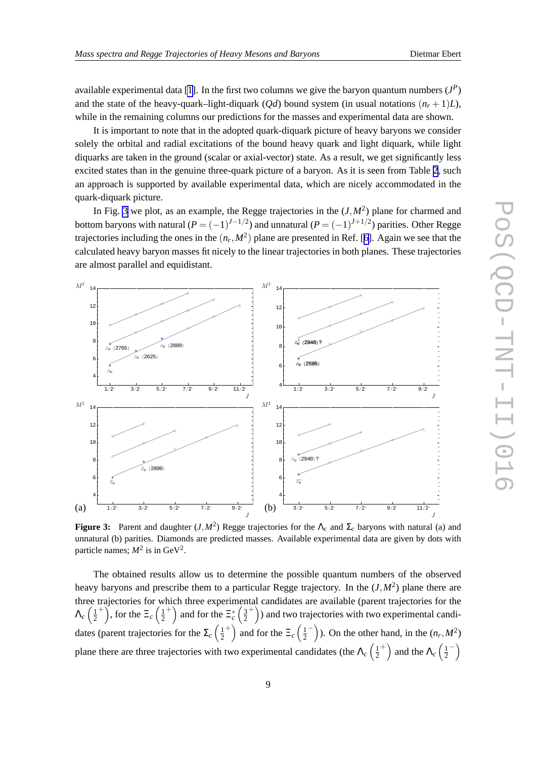<span id="page-8-0"></span>available experimental data [\[1\]](#page-11-0). In the first two columns we give the baryon quantum numbers  $(J^P)$ and the state of the heavy-quark–light-diquark (*Qd*) bound system (in usual notations  $(n_r + 1)L$ ), while in the remaining columns our predictions for the masses and experimental data are shown.

It is important to note that in the adopted quark-diquark picture of heavy baryons we consider solely the orbital and radial excitations of the bound heavy quark and light diquark, while light diquarks are taken in the ground (scalar or axial-vector) state. As a result, we get significantly less excited states than in the genuine three-quark picture of a baryon. As it is seen from Table [2](#page-9-0), such an approach is supported by available experimental data, which are nicely accommodated in the quark-diquark picture.

In Fig. 3 we plot, as an example, the Regge trajectories in the  $(J, M^2)$  plane for charmed and bottom baryons with natural  $(P = (-1)^{J-1/2})$  and unnatural  $(P = (-1)^{J+1/2})$  parities. Other Regge trajectories including the ones in the  $(n_r, M^2)$  plane are presented in Ref. [[6](#page-11-0)]. Again we see that the calculated heavy baryon masses fit nicely to the linear trajectories in both planes. These trajectories are almost parallel and equidistant.



**Figure 3:** Parent and daughter  $(J, M^2)$  Regge trajectories for the  $\Lambda_c$  and  $\Sigma_c$  baryons with natural (a) and unnatural (b) parities. Diamonds are predicted masses. Available experimental data are given by dots with particle names;  $M^2$  is in GeV<sup>2</sup>.

The obtained results allow us to determine the possible quantum numbers of the observed heavy baryons and prescribe them to a particular Regge trajectory. In the (*J*,*M*<sup>2</sup> ) plane there are three trajectories for which three experimental candidates are available (parent trajectories for the  $\Lambda_c\left(\frac{1}{2}\right)$ 2 <sup>+</sup>), for the  $\Xi_c$   $\left(\frac{1}{2}\right)$ 2 <sup>+</sup>) and for the  $\Xi_c^*$   $\left(\frac{3}{2}\right)$ 2 <sup>+</sup>)) and two trajectories with two experimental candidates (parent trajectories for the  $\Sigma_c$   $\left(\frac{1}{2}\right)$ 2 <sup>+</sup>) and for the  $\Xi_c$   $\left(\frac{1}{2}\right)$  $\left(\frac{1}{2}^{-}\right)$ ). On the other hand, in the  $(n_r, M^2)$ plane there are three trajectories with two experimental candidates (the  $\Lambda_c$ ) 2 <sup>+</sup>) and the  $\Lambda_c$   $\left(\frac{1}{2}\right)$  $\frac{1}{2}^{-}$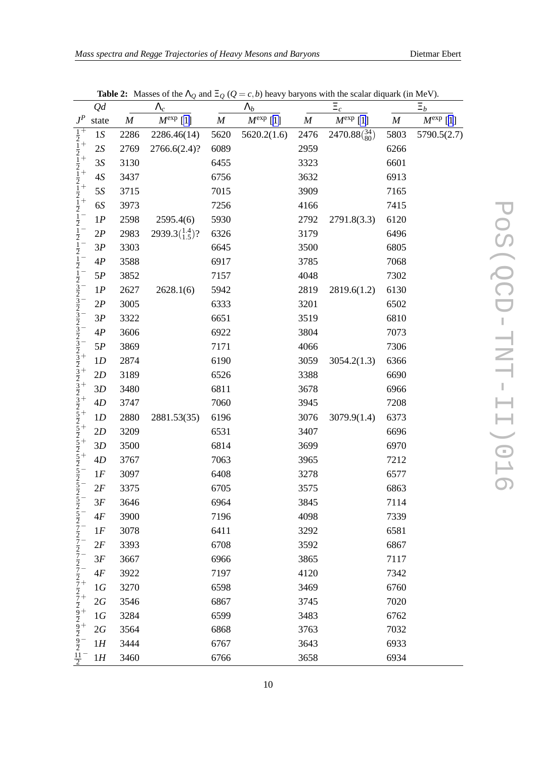<span id="page-9-0"></span>

|                                                                                                                                                                                                     | Qd    |                  | $\Lambda_c$                             |                  | $\Lambda_b$          | $\Xi_c$          |                       |                  | $\Xi_b$              |  |
|-----------------------------------------------------------------------------------------------------------------------------------------------------------------------------------------------------|-------|------------------|-----------------------------------------|------------------|----------------------|------------------|-----------------------|------------------|----------------------|--|
| $J^P$                                                                                                                                                                                               | state | $\boldsymbol{M}$ | $M^{\text{exp}}$ [1]                    | $\boldsymbol{M}$ | $M^{\text{exp}}$ [1] | $\boldsymbol{M}$ | $M^{\text{exp}}$ [1]  | $\boldsymbol{M}$ | $M^{\text{exp}}$ [1] |  |
| $\frac{1}{2}$                                                                                                                                                                                       | 1S    | 2286             | 2286.46(14)                             | 5620             | 5620.2(1.6)          | 2476             | $2470.88(^{34}_{80})$ | 5803             | 5790.5(2.7)          |  |
|                                                                                                                                                                                                     | 2S    | 2769             | 2766.6(2.4)?                            | 6089             |                      | 2959             |                       | 6266             |                      |  |
|                                                                                                                                                                                                     | 3S    | 3130             |                                         | 6455             |                      | 3323             |                       | 6601             |                      |  |
|                                                                                                                                                                                                     | $4S$  | 3437             |                                         | 6756             |                      | 3632             |                       | 6913             |                      |  |
|                                                                                                                                                                                                     | 5S    | 3715             |                                         | 7015             |                      | 3909             |                       | 7165             |                      |  |
| $\frac{1}{2}$ $\frac{1}{2}$ $\frac{1}{2}$ $\frac{1}{2}$ $\frac{1}{2}$ $\frac{1}{2}$                                                                                                                 | 6S    | 3973             |                                         | 7256             |                      | 4166             |                       | 7415             |                      |  |
|                                                                                                                                                                                                     | 1P    | 2598             | 2595.4(6)                               | 5930             |                      | 2792             | 2791.8(3.3)           | 6120             |                      |  |
| $rac{1}{2}$<br>$rac{1}{2}$                                                                                                                                                                          | 2P    | 2983             | 2939.3 $\left(\frac{1.4}{1.5}\right)$ ? | 6326             |                      | 3179             |                       | 6496             |                      |  |
|                                                                                                                                                                                                     | 3P    | 3303             |                                         | 6645             |                      | 3500             |                       | 6805             |                      |  |
| $rac{1}{2}$<br>$rac{1}{2}$                                                                                                                                                                          | 4P    | 3588             |                                         | 6917             |                      | 3785             |                       | 7068             |                      |  |
| $\frac{1}{2}$                                                                                                                                                                                       | 5P    | 3852             |                                         | 7157             |                      | 4048             |                       | 7302             |                      |  |
|                                                                                                                                                                                                     | 1P    | 2627             | 2628.1(6)                               | 5942             |                      | 2819             | 2819.6(1.2)           | 6130             |                      |  |
|                                                                                                                                                                                                     | 2P    | 3005             |                                         | 6333             |                      | 3201             |                       | 6502             |                      |  |
|                                                                                                                                                                                                     | 3P    | 3322             |                                         | 6651             |                      | 3519             |                       | 6810             |                      |  |
|                                                                                                                                                                                                     | 4P    | 3606             |                                         | 6922             |                      | 3804             |                       | 7073             |                      |  |
|                                                                                                                                                                                                     | 5P    | 3869             |                                         | 7171             |                      | 4066             |                       | 7306             |                      |  |
|                                                                                                                                                                                                     | 1D    | 2874             |                                         | 6190             |                      | 3059             | 3054.2(1.3)           | 6366             |                      |  |
| 3)<br>3)<br>2)<br>3)<br>2)<br>3)<br>2)<br>3)<br>2)<br>                                                                                                                                              | 2D    | 3189             |                                         | 6526             |                      | 3388             |                       | 6690             |                      |  |
|                                                                                                                                                                                                     | 3D    | 3480             |                                         | 6811             |                      | 3678             |                       | 6966             |                      |  |
|                                                                                                                                                                                                     | 4D    | 3747             |                                         | 7060             |                      | 3945             |                       | 7208             |                      |  |
|                                                                                                                                                                                                     | 1D    | 2880             | 2881.53(35)                             | 6196             |                      | 3076             | 3079.9(1.4)           | 6373             |                      |  |
|                                                                                                                                                                                                     | 2D    | 3209             |                                         | 6531             |                      | 3407             |                       | 6696             |                      |  |
|                                                                                                                                                                                                     | 3D    | 3500             |                                         | 6814             |                      | 3699             |                       | 6970             |                      |  |
|                                                                                                                                                                                                     | 4D    | 3767             |                                         | 7063             |                      | 3965             |                       | 7212             |                      |  |
|                                                                                                                                                                                                     | 1F    | 3097             |                                         | 6408             |                      | 3278             |                       | 6577             |                      |  |
|                                                                                                                                                                                                     | 2F    | 3375             |                                         | 6705             |                      | 3575             |                       | 6863             |                      |  |
| $rac{5}{2}$                                                                                                                                                                                         | 3F    | 3646             |                                         | 6964             |                      | 3845             |                       | 7114             |                      |  |
|                                                                                                                                                                                                     | 4F    | 3900             |                                         | 7196             |                      | 4098             |                       | 7339             |                      |  |
|                                                                                                                                                                                                     | 1F    | 3078             |                                         | 6411             |                      | 3292             |                       | 6581             |                      |  |
|                                                                                                                                                                                                     | 2F    | 3393             |                                         | 6708             |                      | 3592             |                       | 6867             |                      |  |
|                                                                                                                                                                                                     | 3F    | 3667             |                                         | 6966             |                      | 3865             |                       | 7117             |                      |  |
|                                                                                                                                                                                                     | 4F    | 3922             |                                         | 7197             |                      | 4120             |                       | 7342             |                      |  |
|                                                                                                                                                                                                     | 1G    | 3270             |                                         | 6598             |                      | 3469             |                       | 6760             |                      |  |
|                                                                                                                                                                                                     | 2G    | 3546             |                                         | 6867             |                      | 3745             |                       | 7020             |                      |  |
| $\frac{5}{2}$ $\frac{7}{2}$ $\frac{7}{2}$ $\frac{7}{2}$ $\frac{7}{2}$ $\frac{7}{2}$ $\frac{7}{2}$ $\frac{7}{2}$ $\frac{7}{2}$ $\frac{7}{2}$ $\frac{9}{2}$ $\frac{7}{2}$ $\frac{9}{2}$ $\frac{7}{2}$ | 1G    | 3284             |                                         | 6599             |                      | 3483             |                       | 6762             |                      |  |
|                                                                                                                                                                                                     | 2G    | 3564             |                                         | 6868             |                      | 3763             |                       | 7032             |                      |  |
|                                                                                                                                                                                                     | 1H    | 3444             |                                         | 6767             |                      | 3643             |                       | 6933             |                      |  |
| $rac{11}{2}$                                                                                                                                                                                        | 1H    | 3460             |                                         | 6766             |                      | 3658             |                       | 6934             |                      |  |

**Table 2:** Masses of the  $\Lambda_Q$  and  $\Xi_Q$  ( $Q = c, b$ ) heavy baryons with the scalar diquark (in MeV).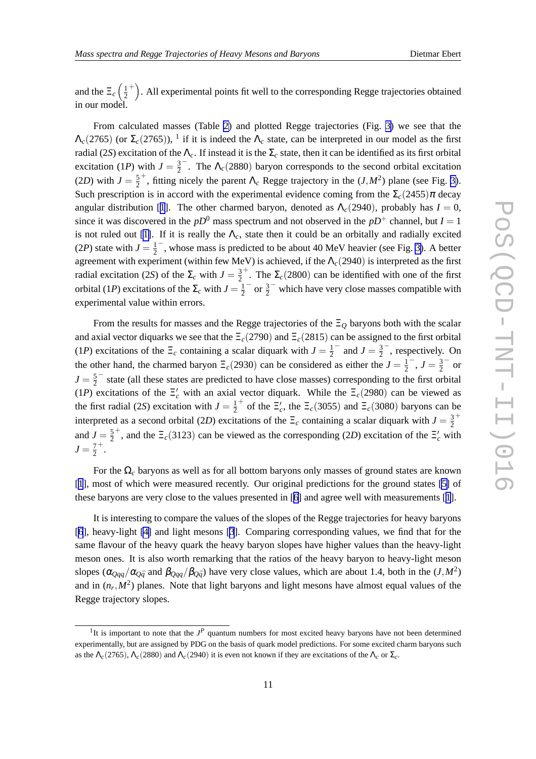and the  $\Xi_c$   $\left(\frac{1}{2}\right)$  $\overline{2}$ <sup>+</sup>). All experimental points fit well to the corresponding Regge trajectories obtained in our model.

From calculated masses (Table [2\)](#page-9-0) and plotted Regge trajectories (Fig. [3\)](#page-8-0) we see that the  $\Lambda_c(2765)$  (or  $\Sigma_c(2765)$ ), <sup>1</sup> if it is indeed the  $\Lambda_c$  state, can be interpreted in our model as the first radial (2*S*) excitation of the  $\Lambda_c$ . If instead it is the  $\Sigma_c$  state, then it can be identified as its first orbital excitation (1*P*) with  $J = \frac{3}{2}$  $\frac{3}{2}$ . The  $\Lambda_c(2880)$  baryon corresponds to the second orbital excitation  $(2D)$  with  $J=\frac{5}{2}$ 2 <sup>+</sup>, fitting nicely the parent  $\Lambda_c$  Regge trajectory in the  $(J, M^2)$  plane (see Fig. [3\)](#page-8-0). Such prescription is in accord with the experimental evidence coming from the  $\Sigma_c(2455)\pi$  decay angular distribution [[1](#page-11-0)]. The other charmed baryon, denoted as  $\Lambda_c(2940)$ , probably has  $I = 0$ , since it was discovered in the  $pD^0$  mass spectrum and not observed in the  $pD^+$  channel, but  $I = 1$ is not ruled out [\[1\]](#page-11-0). If it is really the  $\Lambda_c$ , state then it could be an orbitally and radially excited (2*P*) state with  $J = \frac{1}{2}$  $\frac{1}{2}$ , whose mass is predicted to be about 40 MeV heavier (see Fig. [3\)](#page-8-0). A better agreement with experiment (within few MeV) is achieved, if the Λ*c*(2940) is interpreted as the first radial excitation (2*S*) of the  $\Sigma_c$  with  $J = \frac{3}{2}$ 2 <sup>+</sup>. The  $\Sigma_c(2800)$  can be identified with one of the first orbital (1*P*) excitations of the  $\Sigma_c$  with  $J = \frac{1}{2}$  $\frac{1}{2}$  or  $\frac{3}{2}$  which have very close masses compatible with experimental value within errors.

From the results for masses and the Regge trajectories of the Ξ*<sup>Q</sup>* baryons both with the scalar and axial vector diquarks we see that the Ξ*c*(2790) and Ξ*c*(2815) can be assigned to the first orbital (1*P*) excitations of the  $\Xi_c$  containing a scalar diquark with  $J = \frac{1}{2}$  $\frac{1}{2}^{-}$  and  $J = \frac{3}{2}$  $\frac{3}{2}$ , respectively. On the other hand, the charmed baryon  $\Xi_c(2930)$  can be considered as either the  $J = \frac{1}{2}$  $\frac{1}{2}^{-}$ ,  $J = \frac{3}{2}$  $\frac{3}{2}$  or  $J=\frac{5}{2}$  $\frac{5}{2}$  state (all these states are predicted to have close masses) corresponding to the first orbital (1*P*) excitations of the  $\Xi_c$  with an axial vector diquark. While the  $\Xi_c(2980)$  can be viewed as the first radial (2*S*) excitation with  $J = \frac{1}{2}$ 2 <sup>+</sup> of the  $\Xi_c'$ , the  $\Xi_c(3055)$  and  $\Xi_c(3080)$  baryons can be interpreted as a second orbital (2D) excitations of the  $\Xi_c$  containing a scalar diquark with  $J = \frac{3}{2}$  $\overline{2}$ + and  $J=\frac{5}{2}$ 2 <sup>+</sup>, and the  $\Xi_c(3123)$  can be viewed as the corresponding (2D) excitation of the  $\Xi_c$  with  $J=\frac{7}{2}$ 2 + .

For the  $\Omega_c$  baryons as well as for all bottom baryons only masses of ground states are known [[1](#page-11-0)], most of which were measured recently. Our original predictions for the ground states [\[5\]](#page-11-0) of these baryons are very close to the values presented in [[6](#page-11-0)] and agree well with measurements [[1](#page-11-0)].

It is interesting to compare the values of the slopes of the Regge trajectories for heavy baryons [[6](#page-11-0)], heavy-light [\[4\]](#page-11-0) and light mesons [[3](#page-11-0)]. Comparing corresponding values, we find that for the same flavour of the heavy quark the heavy baryon slopes have higher values than the heavy-light meson ones. It is also worth remarking that the ratios of the heavy baryon to heavy-light meson slopes ( $\alpha_{Qqq}/\alpha_{Q\bar{q}}$  and  $\beta_{Qqq}/\beta_{Q\bar{q}}$ ) have very close values, which are about 1.4, both in the (*J*,*M*<sup>2</sup>) and in  $(n_r, M^2)$  planes. Note that light baryons and light mesons have almost equal values of the Regge trajectory slopes.

<sup>&</sup>lt;sup>1</sup>It is important to note that the  $J<sup>P</sup>$  quantum numbers for most excited heavy baryons have not been determined experimentally, but are assigned by PDG on the basis of quark model predictions. For some excited charm baryons such as the  $\Lambda_c(2765)$ ,  $\Lambda_c(2880)$  and  $\Lambda_c(2940)$  it is even not known if they are excitations of the  $\Lambda_c$  or  $\Sigma_c$ .